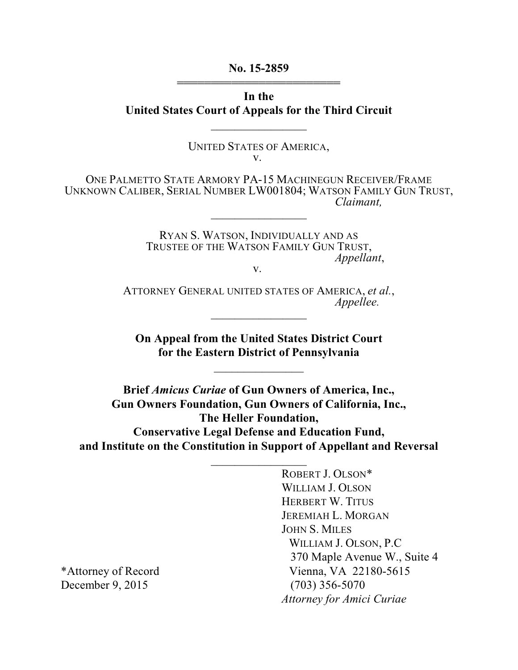**No. 15-2859** 444444444444444444444444

**In the United States Court of Appeals for the Third Circuit**

 $\overline{\phantom{a}}$  , where  $\overline{\phantom{a}}$ 

UNITED STATES OF AMERICA, v.

ONE PALMETTO STATE ARMORY PA-15 MACHINEGUN RECEIVER/FRAME UNKNOWN CALIBER, SERIAL NUMBER LW001804; WATSON FAMILY GUN TRUST, *Claimant,*  $\frac{1}{2}$ 

> RYAN S. WATSON, INDIVIDUALLY AND AS TRUSTEE OF THE WATSON FAMILY GUN TRUST, *Appellant*,

> > v.

ATTORNEY GENERAL UNITED STATES OF AMERICA, *et al.*, *Appellee.*  $\frac{1}{2}$ 

**On Appeal from the United States District Court for the Eastern District of Pennsylvania**

 $\frac{1}{2}$ 

**Brief** *Amicus Curiae* **of Gun Owners of America, Inc., Gun Owners Foundation, Gun Owners of California, Inc., The Heller Foundation, Conservative Legal Defense and Education Fund, and Institute on the Constitution in Support of Appellant and Reversal**

 $\overline{\phantom{a}}$  , where  $\overline{\phantom{a}}$ 

ROBERT J. OLSON\* WILLIAM J. OLSON HERBERT W. TITUS JEREMIAH L. MORGAN JOHN S. MILES WILLIAM J. OLSON, P.C 370 Maple Avenue W., Suite 4 \*Attorney of Record Vienna, VA 22180-5615 *Attorney for Amici Curiae*

December 9, 2015 (703) 356-5070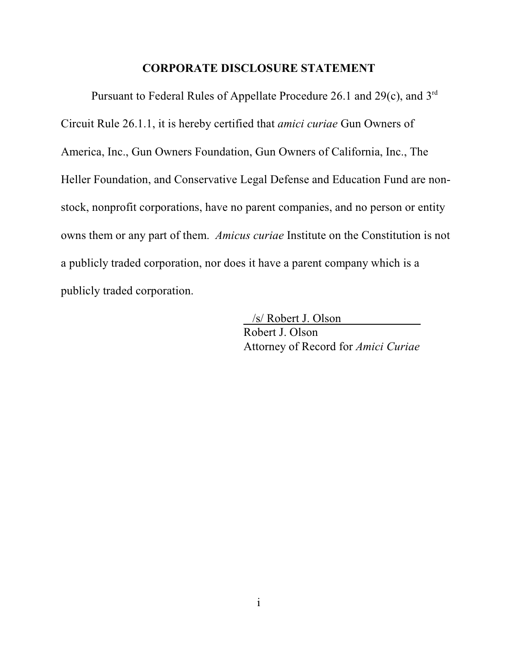#### **CORPORATE DISCLOSURE STATEMENT**

Pursuant to Federal Rules of Appellate Procedure 26.1 and 29(c), and 3rd Circuit Rule 26.1.1, it is hereby certified that *amici curiae* Gun Owners of America, Inc., Gun Owners Foundation, Gun Owners of California, Inc., The Heller Foundation, and Conservative Legal Defense and Education Fund are nonstock, nonprofit corporations, have no parent companies, and no person or entity owns them or any part of them. *Amicus curiae* Institute on the Constitution is not a publicly traded corporation, nor does it have a parent company which is a publicly traded corporation.

> /s/ Robert J. Olson Robert J. Olson Attorney of Record for *Amici Curiae*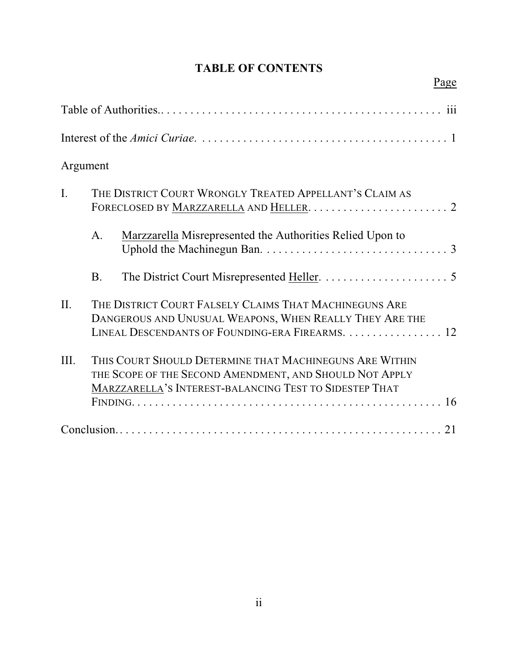# **TABLE OF CONTENTS**

|                | Page                                                                                                                                                                                |
|----------------|-------------------------------------------------------------------------------------------------------------------------------------------------------------------------------------|
|                |                                                                                                                                                                                     |
|                |                                                                                                                                                                                     |
| Argument       |                                                                                                                                                                                     |
| $\mathbf{I}$ . | THE DISTRICT COURT WRONGLY TREATED APPELLANT'S CLAIM AS                                                                                                                             |
|                | A <sub>1</sub><br>Marzzarella Misrepresented the Authorities Relied Upon to                                                                                                         |
|                | <b>B.</b>                                                                                                                                                                           |
| $\Pi$ .        | THE DISTRICT COURT FALSELY CLAIMS THAT MACHINEGUNS ARE<br>DANGEROUS AND UNUSUAL WEAPONS, WHEN REALLY THEY ARE THE<br>LINEAL DESCENDANTS OF FOUNDING-ERA FIREARMS. 12                |
| III.           | THIS COURT SHOULD DETERMINE THAT MACHINEGUNS ARE WITHIN<br>THE SCOPE OF THE SECOND AMENDMENT, AND SHOULD NOT APPLY<br><b>MARZZARELLA'S INTEREST-BALANCING TEST TO SIDESTEP THAT</b> |
|                |                                                                                                                                                                                     |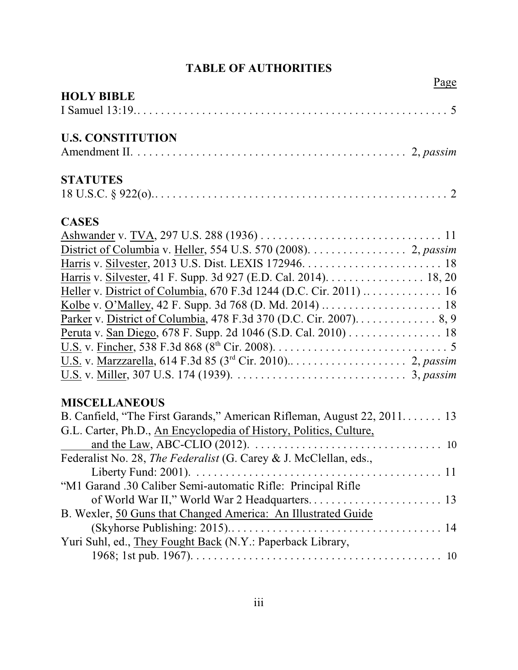# **TABLE OF AUTHORITIES**

| Page                                                                    |
|-------------------------------------------------------------------------|
| <b>HOLY BIBLE</b>                                                       |
|                                                                         |
| <b>U.S. CONSTITUTION</b>                                                |
|                                                                         |
| <b>STATUTES</b>                                                         |
|                                                                         |
| <b>CASES</b>                                                            |
|                                                                         |
| District of Columbia v. Heller, 554 U.S. 570 (2008). 2, passim          |
|                                                                         |
| Harris v. Silvester, 41 F. Supp. 3d 927 (E.D. Cal. 2014). 18, 20        |
|                                                                         |
|                                                                         |
| Parker v. District of Columbia, 478 F.3d 370 (D.C. Cir. 2007). 8, 9     |
| Peruta v. San Diego, 678 F. Supp. 2d 1046 (S.D. Cal. 2010) 18           |
|                                                                         |
|                                                                         |
|                                                                         |
| <b>MISCELLANEOUS</b>                                                    |
| B. Canfield, "The First Garands," American Rifleman, August 22, 2011 13 |
| G.L. Carter, Ph.D., An Encyclopedia of History, Politics, Culture,      |
|                                                                         |
|                                                                         |
|                                                                         |
| "M1 Garand .30 Caliber Semi-automatic Rifle: Principal Rifle            |
|                                                                         |
| B. Wexler, 50 Guns that Changed America: An Illustrated Guide           |
|                                                                         |
| Yuri Suhl, ed., They Fought Back (N.Y.: Paperback Library,              |
|                                                                         |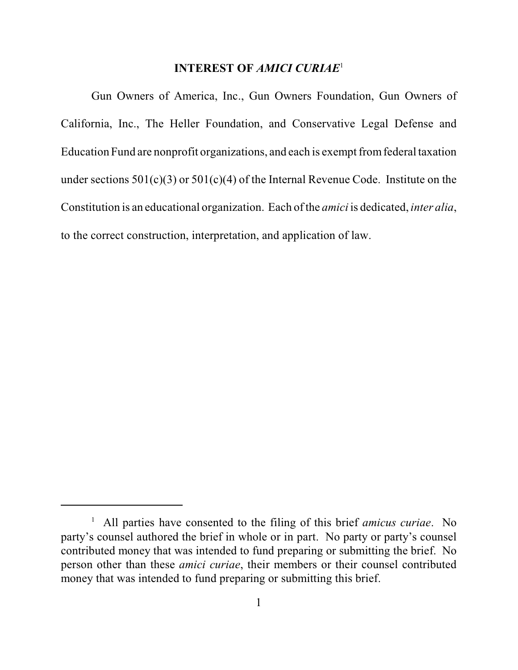### **INTEREST OF** *AMICI CURIAE*<sup>1</sup>

Gun Owners of America, Inc., Gun Owners Foundation, Gun Owners of California, Inc., The Heller Foundation, and Conservative Legal Defense and Education Fund are nonprofit organizations, and each is exempt from federal taxation under sections  $501(c)(3)$  or  $501(c)(4)$  of the Internal Revenue Code. Institute on the Constitution is an educational organization. Each of the *amici* is dedicated, *inter alia*, to the correct construction, interpretation, and application of law.

<sup>&</sup>lt;sup>1</sup> All parties have consented to the filing of this brief *amicus curiae*. No party's counsel authored the brief in whole or in part. No party or party's counsel contributed money that was intended to fund preparing or submitting the brief. No person other than these *amici curiae*, their members or their counsel contributed money that was intended to fund preparing or submitting this brief.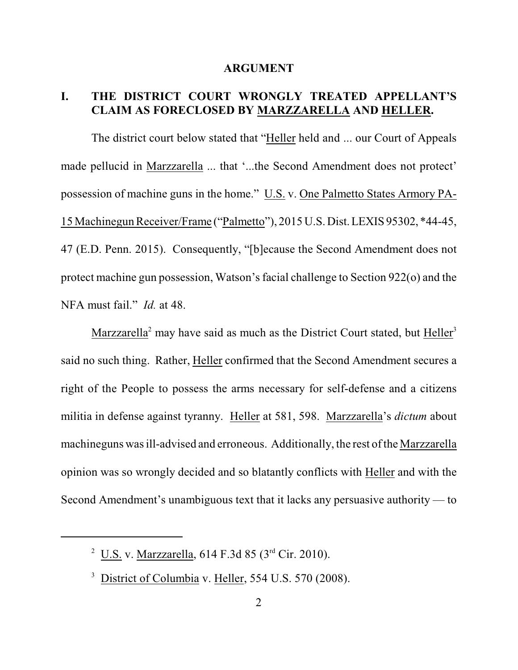#### **ARGUMENT**

## **I. THE DISTRICT COURT WRONGLY TREATED APPELLANT'S CLAIM AS FORECLOSED BY MARZZARELLA AND HELLER.**

The district court below stated that "Heller held and ... our Court of Appeals made pellucid in Marzzarella ... that '...the Second Amendment does not protect' possession of machine guns in the home." U.S. v. One Palmetto States Armory PA-15 Machinegun Receiver/Frame ("Palmetto"), 2015 U.S. Dist. LEXIS 95302, \*44-45, 47 (E.D. Penn. 2015). Consequently, "[b]ecause the Second Amendment does not protect machine gun possession, Watson's facial challenge to Section 922(o) and the NFA must fail." *Id.* at 48.

Marzzarella<sup>2</sup> may have said as much as the District Court stated, but Heller<sup>3</sup> said no such thing. Rather, Heller confirmed that the Second Amendment secures a right of the People to possess the arms necessary for self-defense and a citizens militia in defense against tyranny. Heller at 581, 598. Marzzarella's *dictum* about machineguns was ill-advised and erroneous. Additionally, the rest of the Marzzarella opinion was so wrongly decided and so blatantly conflicts with Heller and with the Second Amendment's unambiguous text that it lacks any persuasive authority — to

<sup>&</sup>lt;sup>2</sup> U.S. v. Marzzarella, 614 F.3d 85 ( $3<sup>rd</sup>$  Cir. 2010).

 $3$  District of Columbia v. Heller, 554 U.S. 570 (2008).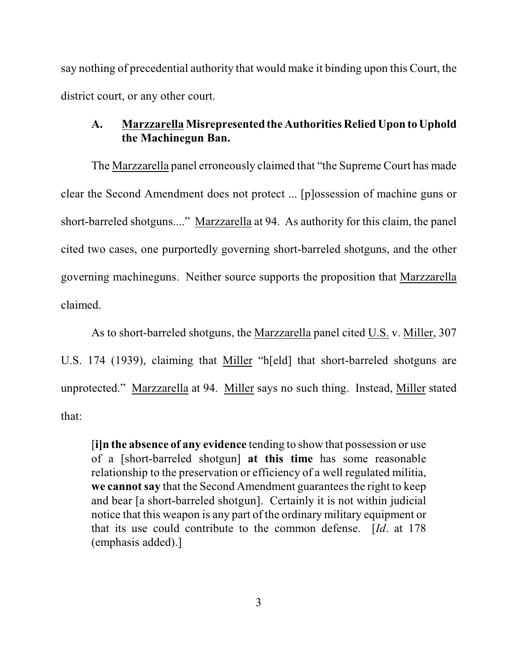say nothing of precedential authority that would make it binding upon this Court, the district court, or any other court.

### **A. Marzzarella Misrepresented the Authorities Relied Upon to Uphold the Machinegun Ban.**

The Marzzarella panel erroneously claimed that "the Supreme Court has made clear the Second Amendment does not protect ... [p]ossession of machine guns or short-barreled shotguns...." Marzzarella at 94. As authority for this claim, the panel cited two cases, one purportedly governing short-barreled shotguns, and the other governing machineguns. Neither source supports the proposition that Marzzarella claimed.

As to short-barreled shotguns, the Marzzarella panel cited U.S. v. Miller, 307 U.S. 174 (1939), claiming that Miller "h[eld] that short-barreled shotguns are unprotected." Marzzarella at 94. Miller says no such thing. Instead, Miller stated that:

[**i]n the absence of any evidence** tending to show that possession or use of a [short-barreled shotgun] **at this time** has some reasonable relationship to the preservation or efficiency of a well regulated militia, **we cannot say** that the Second Amendment guarantees the right to keep and bear [a short-barreled shotgun]. Certainly it is not within judicial notice that this weapon is any part of the ordinary military equipment or that its use could contribute to the common defense. [*Id*. at 178 (emphasis added).]

3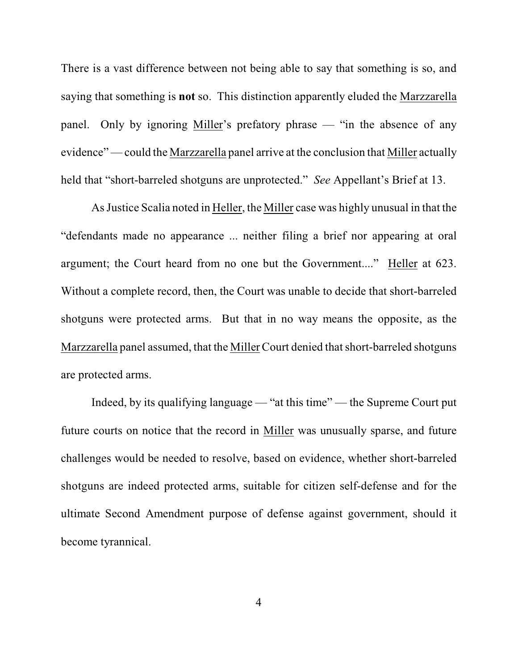There is a vast difference between not being able to say that something is so, and saying that something is **not** so. This distinction apparently eluded the Marzzarella panel. Only by ignoring Miller's prefatory phrase — "in the absence of any evidence" — could the Marzzarella panel arrive at the conclusion that Miller actually held that "short-barreled shotguns are unprotected." *See* Appellant's Brief at 13.

As Justice Scalia noted in Heller, the Miller case was highly unusual in that the "defendants made no appearance ... neither filing a brief nor appearing at oral argument; the Court heard from no one but the Government...." Heller at 623. Without a complete record, then, the Court was unable to decide that short-barreled shotguns were protected arms. But that in no way means the opposite, as the Marzzarella panel assumed, that the Miller Court denied that short-barreled shotguns are protected arms.

Indeed, by its qualifying language — "at this time" — the Supreme Court put future courts on notice that the record in Miller was unusually sparse, and future challenges would be needed to resolve, based on evidence, whether short-barreled shotguns are indeed protected arms, suitable for citizen self-defense and for the ultimate Second Amendment purpose of defense against government, should it become tyrannical.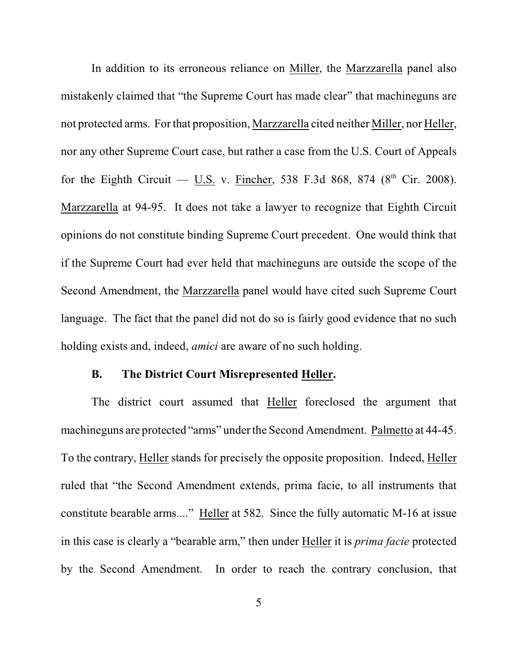In addition to its erroneous reliance on Miller, the Marzzarella panel also mistakenly claimed that "the Supreme Court has made clear" that machineguns are not protected arms. For that proposition, Marzzarella cited neither Miller, nor Heller, nor any other Supreme Court case, but rather a case from the U.S. Court of Appeals for the Eighth Circuit —  $\underline{U.S.}$  v. Fincher, 538 F.3d 868, 874 (8<sup>th</sup> Cir. 2008). Marzzarella at 94-95. It does not take a lawyer to recognize that Eighth Circuit opinions do not constitute binding Supreme Court precedent. One would think that if the Supreme Court had ever held that machineguns are outside the scope of the Second Amendment, the Marzzarella panel would have cited such Supreme Court language. The fact that the panel did not do so is fairly good evidence that no such holding exists and, indeed, *amici* are aware of no such holding.

#### **B. The District Court Misrepresented Heller.**

The district court assumed that Heller foreclosed the argument that machineguns are protected "arms" under the Second Amendment. Palmetto at 44-45. To the contrary, Heller stands for precisely the opposite proposition. Indeed, Heller ruled that "the Second Amendment extends, prima facie, to all instruments that constitute bearable arms...." Heller at 582. Since the fully automatic M-16 at issue in this case is clearly a "bearable arm," then under Heller it is *prima facie* protected by the Second Amendment. In order to reach the contrary conclusion, that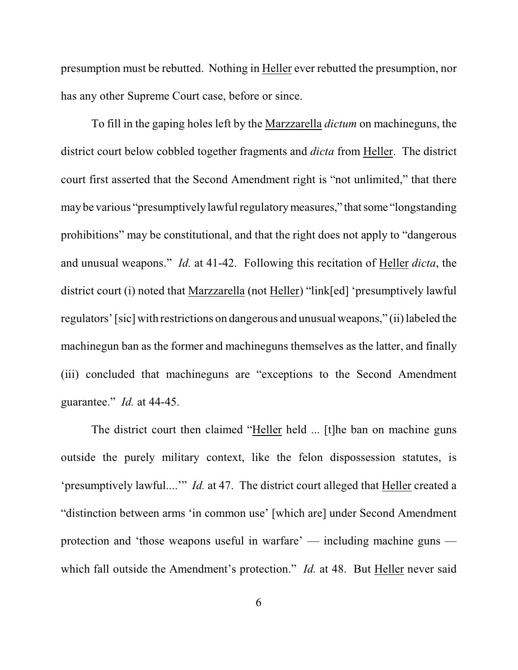presumption must be rebutted. Nothing in Heller ever rebutted the presumption, nor has any other Supreme Court case, before or since.

To fill in the gaping holes left by the Marzzarella *dictum* on machineguns, the district court below cobbled together fragments and *dicta* from Heller. The district court first asserted that the Second Amendment right is "not unlimited," that there may be various "presumptively lawful regulatory measures," that some "longstanding prohibitions" may be constitutional, and that the right does not apply to "dangerous and unusual weapons." *Id.* at 41-42. Following this recitation of Heller *dicta*, the district court (i) noted that Marzzarella (not Heller) "link[ed] 'presumptively lawful regulators' [sic] with restrictions on dangerous and unusual weapons," (ii) labeled the machinegun ban as the former and machineguns themselves as the latter, and finally (iii) concluded that machineguns are "exceptions to the Second Amendment guarantee." *Id.* at 44-45.

The district court then claimed "Heller held ... [t]he ban on machine guns outside the purely military context, like the felon dispossession statutes, is 'presumptively lawful....'" *Id.* at 47. The district court alleged that Heller created a "distinction between arms 'in common use' [which are] under Second Amendment protection and 'those weapons useful in warfare' — including machine guns which fall outside the Amendment's protection." *Id.* at 48. But Heller never said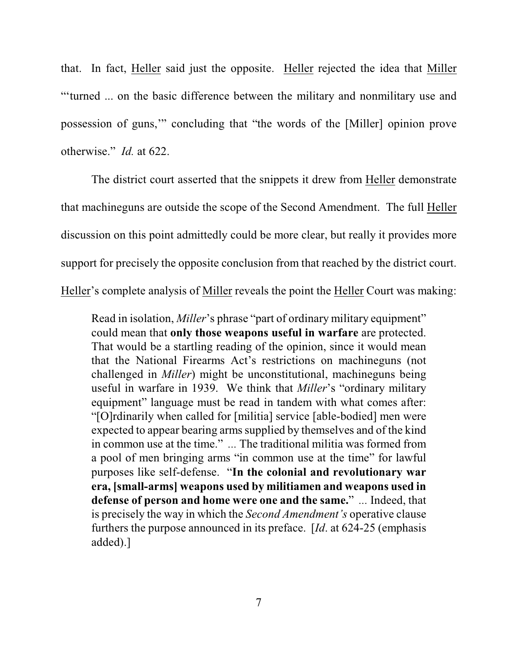that. In fact, Heller said just the opposite. Heller rejected the idea that Miller "'turned ... on the basic difference between the military and nonmilitary use and possession of guns,'" concluding that "the words of the [Miller] opinion prove otherwise." *Id.* at 622.

The district court asserted that the snippets it drew from Heller demonstrate that machineguns are outside the scope of the Second Amendment. The full Heller discussion on this point admittedly could be more clear, but really it provides more support for precisely the opposite conclusion from that reached by the district court. Heller's complete analysis of Miller reveals the point the Heller Court was making:

Read in isolation, *Miller*'s phrase "part of ordinary military equipment" could mean that **only those weapons useful in warfare** are protected. That would be a startling reading of the opinion, since it would mean that the National Firearms Act's restrictions on machineguns (not challenged in *Miller*) might be unconstitutional, machineguns being useful in warfare in 1939. We think that *Miller*'s "ordinary military equipment" language must be read in tandem with what comes after: "[O]rdinarily when called for [militia] service [able-bodied] men were expected to appear bearing arms supplied by themselves and of the kind in common use at the time." *...* The traditional militia was formed from a pool of men bringing arms "in common use at the time" for lawful purposes like self-defense. "**In the colonial and revolutionary war era, [small-arms] weapons used by militiamen and weapons used in defense of person and home were one and the same.**" *...* Indeed, that is precisely the way in which the *Second Amendment's* operative clause furthers the purpose announced in its preface. [*Id*. at 624-25 (emphasis added).]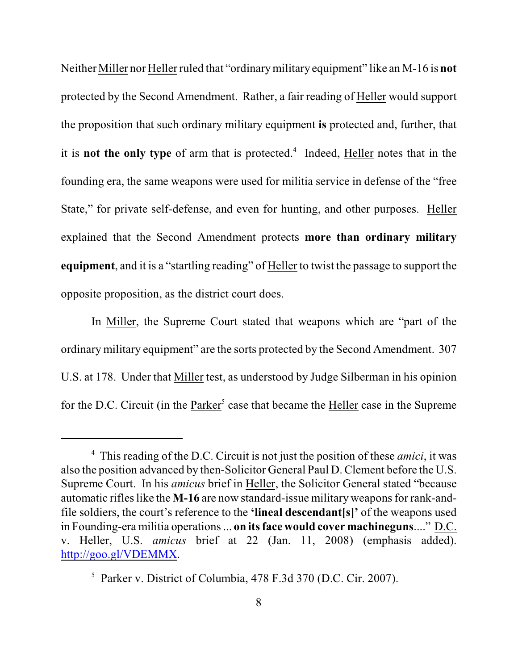Neither Miller nor Heller ruled that "ordinary military equipment" like an M-16 is **not** protected by the Second Amendment. Rather, a fair reading of Heller would support the proposition that such ordinary military equipment **is** protected and, further, that it is **not the only type** of arm that is protected.<sup>4</sup> Indeed, Heller notes that in the founding era, the same weapons were used for militia service in defense of the "free State," for private self-defense, and even for hunting, and other purposes. Heller explained that the Second Amendment protects **more than ordinary military equipment**, and it is a "startling reading" of Heller to twist the passage to support the opposite proposition, as the district court does.

In Miller, the Supreme Court stated that weapons which are "part of the ordinary military equipment" are the sorts protected by the Second Amendment. 307 U.S. at 178. Under that Miller test, as understood by Judge Silberman in his opinion for the D.C. Circuit (in the Parker<sup>5</sup> case that became the Heller case in the Supreme

This reading of the D.C. Circuit is not just the position of these *amici*, it was <sup>4</sup> also the position advanced by then-Solicitor General Paul D.Clement before the U.S. Supreme Court. In his *amicus* brief in Heller, the Solicitor General stated "because automatic rifles like the **M-16** are now standard-issue military weapons for rank-andfile soldiers, the court's reference to the **'lineal descendant[s]'** of the weapons used in Founding-era militia operations ... **on its face would cover machineguns**...." D.C. v. Heller, U.S. *amicus* brief at 22 (Jan. 11, 2008) (emphasis added). <http://goo.gl/VDEMMX>.

<sup>&</sup>lt;sup>5</sup> Parker v. District of Columbia, 478 F.3d 370 (D.C. Cir. 2007).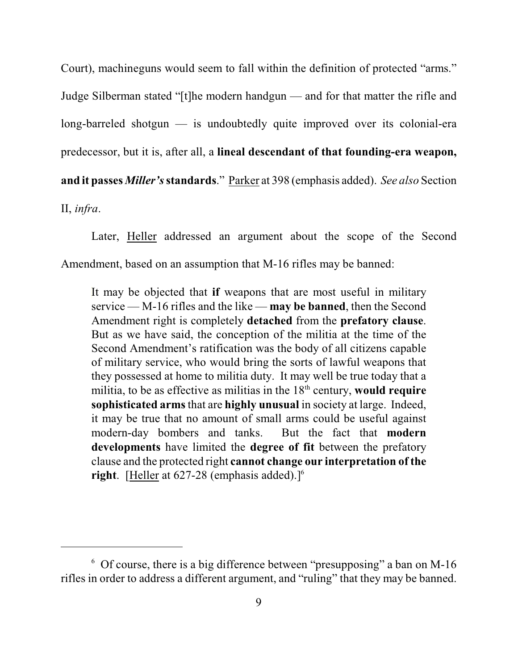Court), machineguns would seem to fall within the definition of protected "arms." Judge Silberman stated "[t]he modern handgun — and for that matter the rifle and long-barreled shotgun — is undoubtedly quite improved over its colonial-era predecessor, but it is, after all, a **lineal descendant of that founding-era weapon, and it passes** *Miller's* **standards**." Parker at 398 (emphasis added). *See also* Section II, *infra*.

Later, Heller addressed an argument about the scope of the Second Amendment, based on an assumption that M-16 rifles may be banned:

It may be objected that **if** weapons that are most useful in military service — M-16 rifles and the like — **may be banned**, then the Second Amendment right is completely **detached** from the **prefatory clause**. But as we have said, the conception of the militia at the time of the Second Amendment's ratification was the body of all citizens capable of military service, who would bring the sorts of lawful weapons that they possessed at home to militia duty. It may well be true today that a militia, to be as effective as militias in the  $18<sup>th</sup>$  century, **would require sophisticated arms** that are **highly unusual** in society at large. Indeed, it may be true that no amount of small arms could be useful against modern-day bombers and tanks. But the fact that **modern developments** have limited the **degree of fit** between the prefatory clause and the protected right **cannot change our interpretation of the right.** [Heller at 627-28 (emphasis added).]<sup>6</sup>

 $6$  Of course, there is a big difference between "presupposing" a ban on M-16 rifles in order to address a different argument, and "ruling" that they may be banned.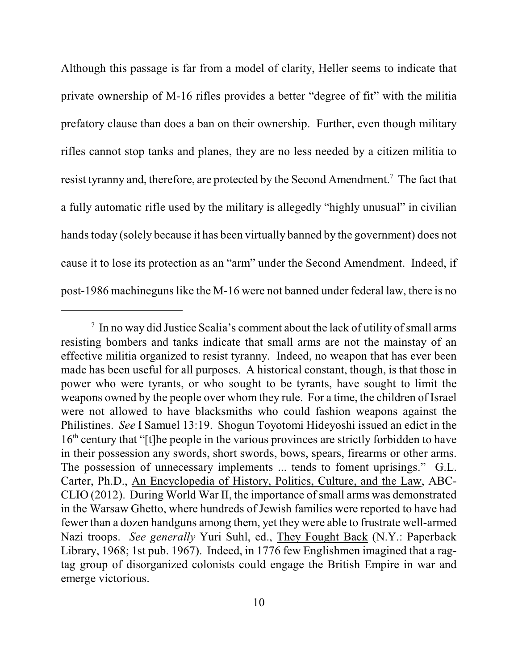Although this passage is far from a model of clarity, Heller seems to indicate that private ownership of M-16 rifles provides a better "degree of fit" with the militia prefatory clause than does a ban on their ownership. Further, even though military rifles cannot stop tanks and planes, they are no less needed by a citizen militia to resist tyranny and, therefore, are protected by the Second Amendment.<sup>7</sup> The fact that a fully automatic rifle used by the military is allegedly "highly unusual" in civilian hands today (solely because it has been virtually banned by the government) does not cause it to lose its protection as an "arm" under the Second Amendment. Indeed, if post-1986 machineguns like the M-16 were not banned under federal law, there is no

 $\frac{1}{1}$  In no way did Justice Scalia's comment about the lack of utility of small arms resisting bombers and tanks indicate that small arms are not the mainstay of an effective militia organized to resist tyranny. Indeed, no weapon that has ever been made has been useful for all purposes. A historical constant, though, is that those in power who were tyrants, or who sought to be tyrants, have sought to limit the weapons owned by the people over whom they rule. For a time, the children of Israel were not allowed to have blacksmiths who could fashion weapons against the Philistines. *See* I Samuel 13:19. Shogun Toyotomi Hideyoshi issued an edict in the 16<sup>th</sup> century that "[t]he people in the various provinces are strictly forbidden to have in their possession any swords, short swords, bows, spears, firearms or other arms. The possession of unnecessary implements ... tends to foment uprisings." G.L. Carter, Ph.D., An Encyclopedia of History, Politics, Culture, and the Law, ABC-CLIO (2012). During World War II, the importance of small arms was demonstrated in the Warsaw Ghetto, where hundreds of Jewish families were reported to have had fewer than a dozen handguns among them, yet they were able to frustrate well-armed Nazi troops. *See generally* Yuri Suhl, ed., They Fought Back (N.Y.: Paperback Library, 1968; 1st pub. 1967). Indeed, in 1776 few Englishmen imagined that a ragtag group of disorganized colonists could engage the British Empire in war and emerge victorious.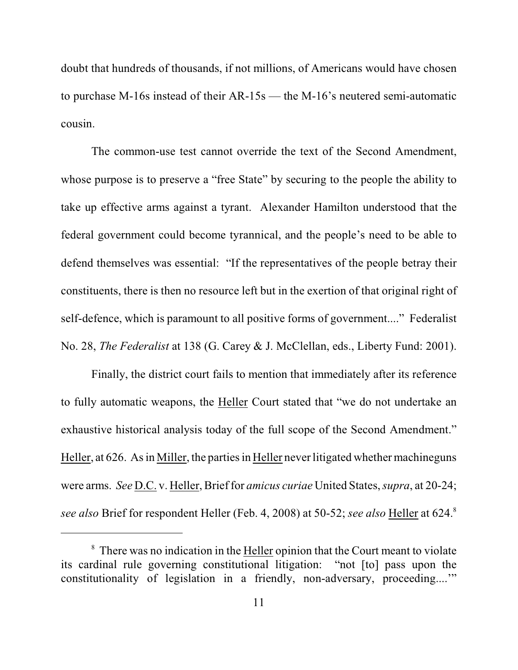doubt that hundreds of thousands, if not millions, of Americans would have chosen to purchase M-16s instead of their AR-15s — the M-16's neutered semi-automatic cousin.

The common-use test cannot override the text of the Second Amendment, whose purpose is to preserve a "free State" by securing to the people the ability to take up effective arms against a tyrant. Alexander Hamilton understood that the federal government could become tyrannical, and the people's need to be able to defend themselves was essential: "If the representatives of the people betray their constituents, there is then no resource left but in the exertion of that original right of self-defence, which is paramount to all positive forms of government...." Federalist No. 28, *The Federalist* at 138 (G. Carey & J. McClellan, eds., Liberty Fund: 2001).

Finally, the district court fails to mention that immediately after its reference to fully automatic weapons, the Heller Court stated that "we do not undertake an exhaustive historical analysis today of the full scope of the Second Amendment." Heller, at 626. As in Miller, the parties in Heller never litigated whether machineguns were arms. *See* D.C. v. Heller, Brief for *amicus curiae* United States, *supra*, at 20-24; *see also* Brief for respondent Heller (Feb. 4, 2008) at 50-52; *see also* Heller at 624. 8

 $\delta$  There was no indication in the Heller opinion that the Court meant to violate its cardinal rule governing constitutional litigation: "not [to] pass upon the constitutionality of legislation in a friendly, non-adversary, proceeding...."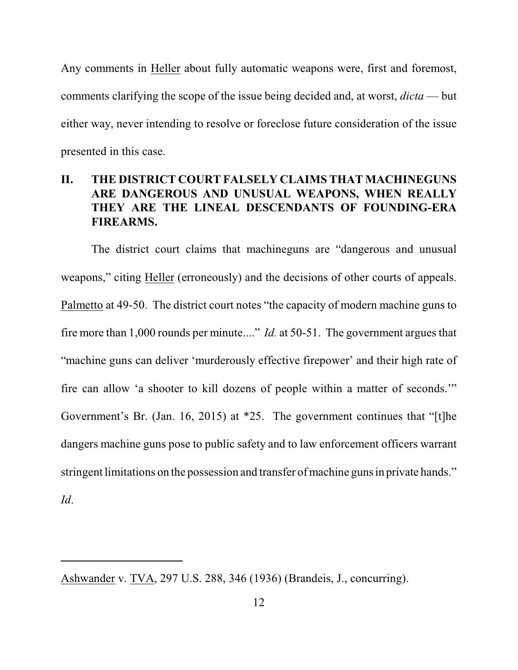Any comments in Heller about fully automatic weapons were, first and foremost, comments clarifying the scope of the issue being decided and, at worst, *dicta* — but either way, never intending to resolve or foreclose future consideration of the issue presented in this case.

# **II. THE DISTRICT COURT FALSELY CLAIMS THAT MACHINEGUNS ARE DANGEROUS AND UNUSUAL WEAPONS, WHEN REALLY THEY ARE THE LINEAL DESCENDANTS OF FOUNDING-ERA FIREARMS.**

The district court claims that machineguns are "dangerous and unusual weapons," citing Heller (erroneously) and the decisions of other courts of appeals. Palmetto at 49-50. The district court notes "the capacity of modern machine guns to fire more than 1,000 rounds per minute...." *Id.* at 50-51. The government argues that "machine guns can deliver 'murderously effective firepower' and their high rate of fire can allow 'a shooter to kill dozens of people within a matter of seconds.'" Government's Br. (Jan. 16, 2015) at \*25. The government continues that "[t]he dangers machine guns pose to public safety and to law enforcement officers warrant stringent limitations on the possession and transfer of machine guns in private hands."

*Id*.

Ashwander v. TVA, 297 U.S. 288, 346 (1936) (Brandeis, J., concurring).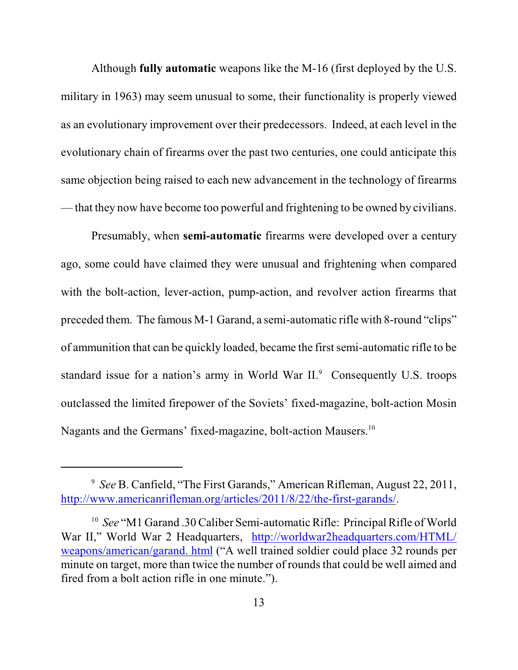Although **fully automatic** weapons like the M-16 (first deployed by the U.S. military in 1963) may seem unusual to some, their functionality is properly viewed as an evolutionary improvement over their predecessors. Indeed, at each level in the evolutionary chain of firearms over the past two centuries, one could anticipate this same objection being raised to each new advancement in the technology of firearms — that they now have become too powerful and frightening to be owned by civilians.

Presumably, when **semi-automatic** firearms were developed over a century ago, some could have claimed they were unusual and frightening when compared with the bolt-action, lever-action, pump-action, and revolver action firearms that preceded them. The famous M-1 Garand, a semi-automatic rifle with 8-round "clips" of ammunition that can be quickly loaded, became the first semi-automatic rifle to be standard issue for a nation's army in World War  $II$ . Consequently U.S. troops outclassed the limited firepower of the Soviets' fixed-magazine, bolt-action Mosin Nagants and the Germans' fixed-magazine, bolt-action Mausers.<sup>10</sup>

<sup>&</sup>lt;sup>9</sup> See B. Canfield, "The First Garands," American Rifleman, August 22, 2011, <http://www.americanrifleman.org/articles/2011/8/22/the-first-garands/>.

<sup>&</sup>lt;sup>10</sup> See "M1 Garand .30 Caliber Semi-automatic Rifle: Principal Rifle of World War II," World War 2 Headquarters, [http://worldwar2headquarters.com/HTML/](http://worldwar2headquarters.com/HTML/weapons/american/garand.html) [weapons/american/garand. html](http://worldwar2headquarters.com/HTML/weapons/american/garand.html) ("A well trained soldier could place 32 rounds per minute on target, more than twice the number of rounds that could be well aimed and fired from a bolt action rifle in one minute.").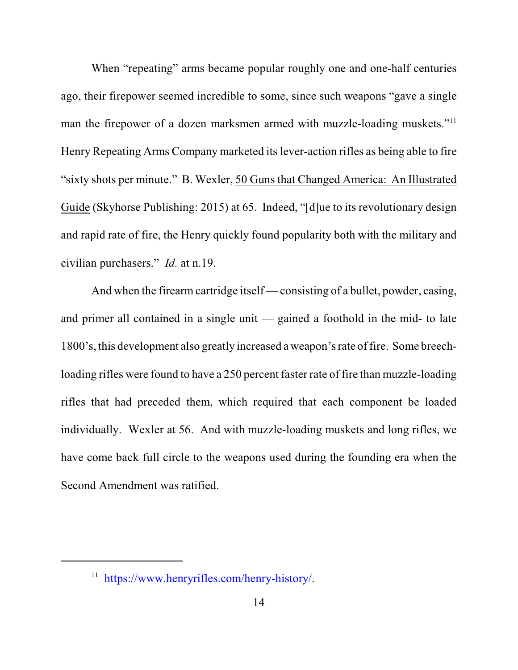When "repeating" arms became popular roughly one and one-half centuries ago, their firepower seemed incredible to some, since such weapons "gave a single man the firepower of a dozen marksmen armed with muzzle-loading muskets."<sup>11</sup> Henry Repeating Arms Company marketed its lever-action rifles as being able to fire "sixty shots per minute." B. Wexler, 50 Guns that Changed America: An Illustrated Guide (Skyhorse Publishing: 2015) at 65. Indeed, "[d]ue to its revolutionary design and rapid rate of fire, the Henry quickly found popularity both with the military and civilian purchasers." *Id.* at n.19.

And when the firearm cartridge itself — consisting of a bullet, powder, casing, and primer all contained in a single unit — gained a foothold in the mid- to late 1800's, this development also greatly increased a weapon's rate of fire. Some breechloading rifles were found to have a 250 percent faster rate of fire than muzzle-loading rifles that had preceded them, which required that each component be loaded individually. Wexler at 56. And with muzzle-loading muskets and long rifles, we have come back full circle to the weapons used during the founding era when the Second Amendment was ratified.

<sup>&</sup>lt;sup>11</sup> <https://www.henryrifles.com/henry-history/>.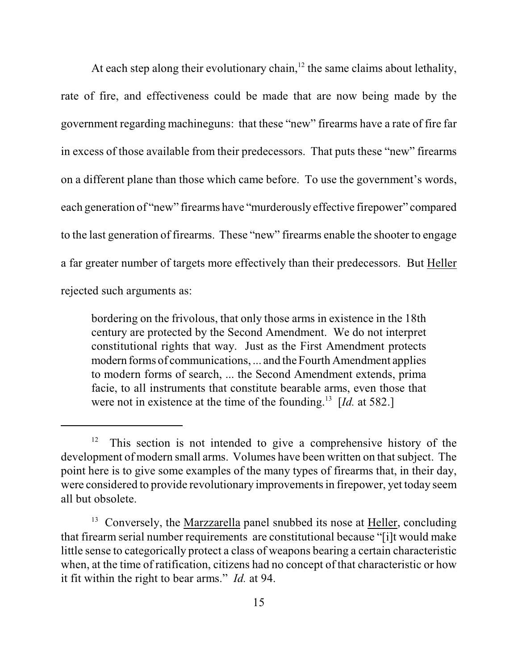At each step along their evolutionary chain,  $12$  the same claims about lethality, rate of fire, and effectiveness could be made that are now being made by the government regarding machineguns: that these "new" firearms have a rate of fire far in excess of those available from their predecessors. That puts these "new" firearms on a different plane than those which came before. To use the government's words, each generation of "new" firearms have "murderously effective firepower" compared to the last generation of firearms. These "new" firearms enable the shooter to engage a far greater number of targets more effectively than their predecessors. But Heller rejected such arguments as:

bordering on the frivolous, that only those arms in existence in the 18th century are protected by the Second Amendment. We do not interpret constitutional rights that way. Just as the First Amendment protects modern forms of communications, ... and the Fourth Amendment applies to modern forms of search, ... the Second Amendment extends, prima facie, to all instruments that constitute bearable arms, even those that were not in existence at the time of the founding.<sup>13</sup> [Id. at 582.]

 $12$  This section is not intended to give a comprehensive history of the development of modern small arms. Volumes have been written on that subject. The point here is to give some examples of the many types of firearms that, in their day, were considered to provide revolutionary improvements in firepower, yet today seem all but obsolete.

<sup>&</sup>lt;sup>13</sup> Conversely, the Marzzarella panel snubbed its nose at Heller, concluding that firearm serial number requirements are constitutional because "[i]t would make little sense to categorically protect a class of weapons bearing a certain characteristic when, at the time of ratification, citizens had no concept of that characteristic or how it fit within the right to bear arms." *Id.* at 94.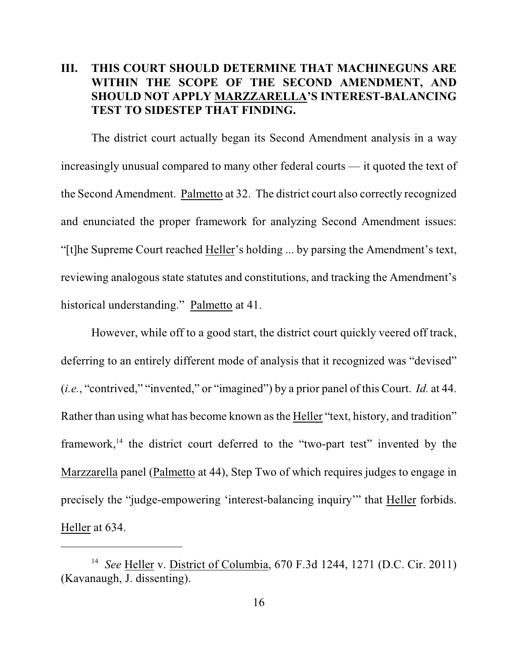## **III. THIS COURT SHOULD DETERMINE THAT MACHINEGUNS ARE WITHIN THE SCOPE OF THE SECOND AMENDMENT, AND SHOULD NOT APPLY MARZZARELLA'S INTEREST-BALANCING TEST TO SIDESTEP THAT FINDING.**

The district court actually began its Second Amendment analysis in a way increasingly unusual compared to many other federal courts — it quoted the text of the Second Amendment. Palmetto at 32. The district court also correctly recognized and enunciated the proper framework for analyzing Second Amendment issues: "[t]he Supreme Court reached Heller's holding ... by parsing the Amendment's text, reviewing analogous state statutes and constitutions, and tracking the Amendment's historical understanding." Palmetto at 41.

However, while off to a good start, the district court quickly veered off track, deferring to an entirely different mode of analysis that it recognized was "devised" (*i.e.*, "contrived," "invented," or "imagined") by a prior panel of this Court. *Id.* at 44. Rather than using what has become known as the Heller "text, history, and tradition" framework, $14$  the district court deferred to the "two-part test" invented by the Marzzarella panel (Palmetto at 44), Step Two of which requires judges to engage in precisely the "judge-empowering 'interest-balancing inquiry'" that Heller forbids. Heller at 634.

<sup>&</sup>lt;sup>14</sup> See Heller v. District of Columbia, 670 F.3d 1244, 1271 (D.C. Cir. 2011) (Kavanaugh, J. dissenting).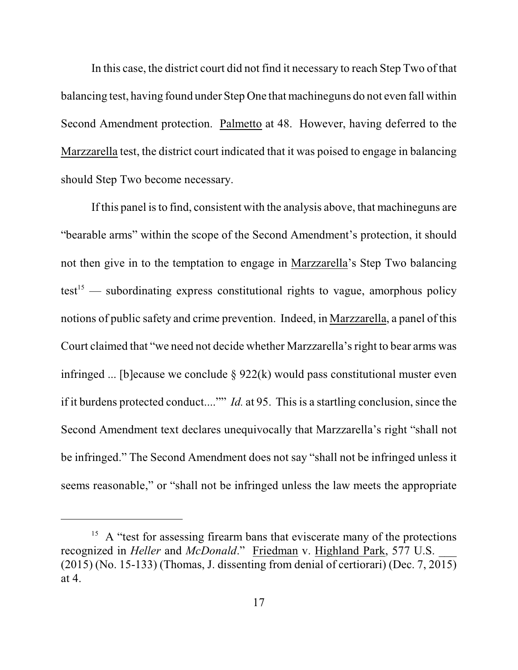In this case, the district court did not find it necessary to reach Step Two of that balancing test, having found under Step One that machineguns do not even fall within Second Amendment protection. Palmetto at 48. However, having deferred to the Marzzarella test, the district court indicated that it was poised to engage in balancing should Step Two become necessary.

If this panel is to find, consistent with the analysis above, that machineguns are "bearable arms" within the scope of the Second Amendment's protection, it should not then give in to the temptation to engage in Marzzarella's Step Two balancing test<sup>15</sup> — subordinating express constitutional rights to vague, amorphous policy notions of public safety and crime prevention. Indeed, in Marzzarella, a panel of this Court claimed that "we need not decide whether Marzzarella's right to bear arms was infringed ... [b]ecause we conclude  $\S 922(k)$  would pass constitutional muster even if it burdens protected conduct...."" *Id.* at 95. This is a startling conclusion, since the Second Amendment text declares unequivocally that Marzzarella's right "shall not be infringed." The Second Amendment does not say "shall not be infringed unless it seems reasonable," or "shall not be infringed unless the law meets the appropriate

<sup>&</sup>lt;sup>15</sup> A "test for assessing firearm bans that eviscerate many of the protections recognized in *Heller* and *McDonald*." Friedman v. Highland Park, 577 U.S. \_\_\_ (2015) (No. 15-133) (Thomas, J. dissenting from denial of certiorari) (Dec. 7, 2015) at 4.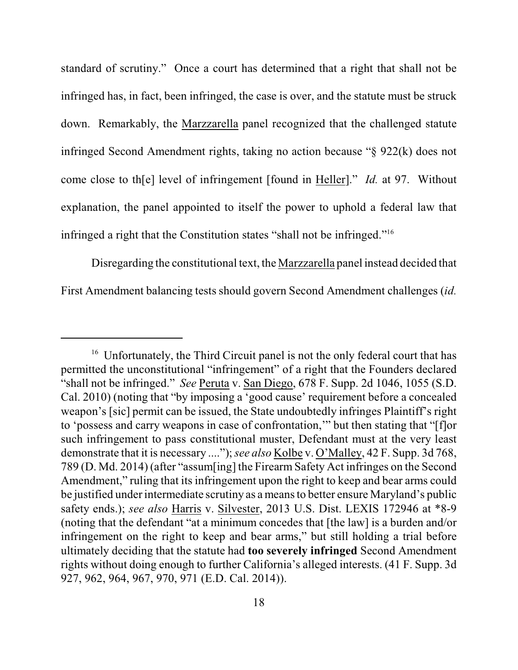standard of scrutiny." Once a court has determined that a right that shall not be infringed has, in fact, been infringed, the case is over, and the statute must be struck down. Remarkably, the Marzzarella panel recognized that the challenged statute infringed Second Amendment rights, taking no action because "§ 922(k) does not come close to th[e] level of infringement [found in Heller]." *Id.* at 97. Without explanation, the panel appointed to itself the power to uphold a federal law that infringed a right that the Constitution states "shall not be infringed."<sup>16</sup>

Disregarding the constitutional text, the Marzzarella panel instead decided that First Amendment balancing tests should govern Second Amendment challenges (*id.*

<sup>&</sup>lt;sup>16</sup> Unfortunately, the Third Circuit panel is not the only federal court that has permitted the unconstitutional "infringement" of a right that the Founders declared "shall not be infringed." *See* Peruta v. San Diego, 678 F. Supp. 2d 1046, 1055 (S.D. Cal. 2010) (noting that "by imposing a 'good cause' requirement before a concealed weapon's [sic] permit can be issued, the State undoubtedly infringes Plaintiff's right to 'possess and carry weapons in case of confrontation,'" but then stating that "[f]or such infringement to pass constitutional muster, Defendant must at the very least demonstrate that it is necessary ...."); *see also* Kolbe v. O'Malley, 42 F. Supp. 3d 768, 789 (D. Md. 2014) (after "assum[ing] the Firearm Safety Act infringes on the Second Amendment," ruling that its infringement upon the right to keep and bear arms could be justified under intermediate scrutiny as a means to better ensure Maryland's public safety ends.); *see also* Harris v. Silvester, 2013 U.S. Dist. LEXIS 172946 at \*8-9 (noting that the defendant "at a minimum concedes that [the law] is a burden and/or infringement on the right to keep and bear arms," but still holding a trial before ultimately deciding that the statute had **too severely infringed** Second Amendment rights without doing enough to further California's alleged interests. (41 F. Supp. 3d 927, 962, 964, 967, 970, 971 (E.D. Cal. 2014)).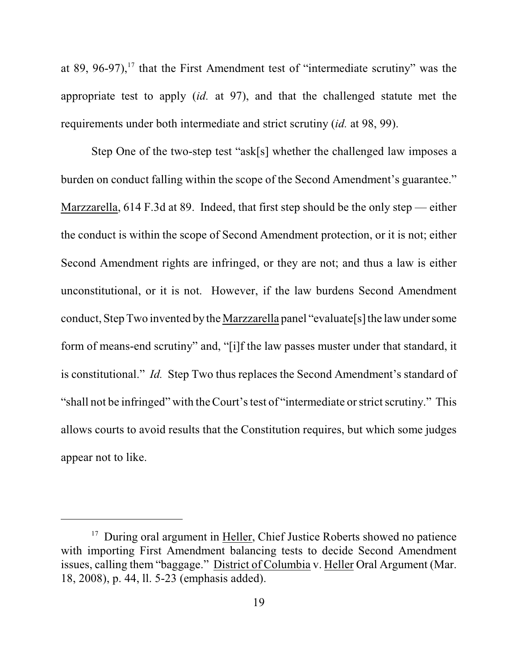at 89, 96-97), $17$  that the First Amendment test of "intermediate scrutiny" was the appropriate test to apply (*id.* at 97), and that the challenged statute met the requirements under both intermediate and strict scrutiny (*id.* at 98, 99).

Step One of the two-step test "ask[s] whether the challenged law imposes a burden on conduct falling within the scope of the Second Amendment's guarantee." Marzzarella, 614 F.3d at 89. Indeed, that first step should be the only step — either the conduct is within the scope of Second Amendment protection, or it is not; either Second Amendment rights are infringed, or they are not; and thus a law is either unconstitutional, or it is not. However, if the law burdens Second Amendment conduct, Step Two invented by the Marzzarella panel "evaluate[s] the law under some form of means-end scrutiny" and, "[i]f the law passes muster under that standard, it is constitutional." *Id.* Step Two thus replaces the Second Amendment's standard of "shall not be infringed" with theCourt's test of "intermediate or strict scrutiny." This allows courts to avoid results that the Constitution requires, but which some judges appear not to like.

 $17$  During oral argument in Heller, Chief Justice Roberts showed no patience with importing First Amendment balancing tests to decide Second Amendment issues, calling them "baggage." District of Columbia v. Heller Oral Argument (Mar. 18, 2008), p. 44, ll. 5-23 (emphasis added).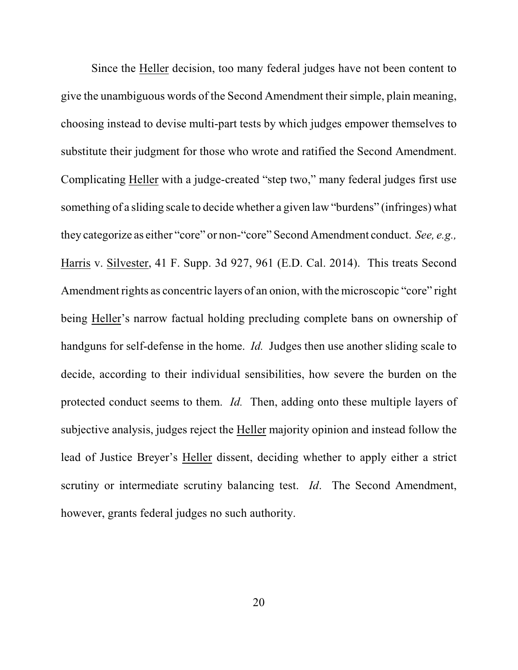Since the Heller decision, too many federal judges have not been content to give the unambiguous words of the Second Amendment their simple, plain meaning, choosing instead to devise multi-part tests by which judges empower themselves to substitute their judgment for those who wrote and ratified the Second Amendment. Complicating Heller with a judge-created "step two," many federal judges first use something of a sliding scale to decide whether a given law "burdens" (infringes) what they categorize as either "core" or non-"core" Second Amendment conduct. *See, e.g.,* Harris v. Silvester, 41 F. Supp. 3d 927, 961 (E.D. Cal. 2014). This treats Second Amendment rights as concentric layers of an onion, with the microscopic "core" right being Heller's narrow factual holding precluding complete bans on ownership of handguns for self-defense in the home. *Id.* Judges then use another sliding scale to decide, according to their individual sensibilities, how severe the burden on the protected conduct seems to them. *Id.* Then, adding onto these multiple layers of subjective analysis, judges reject the Heller majority opinion and instead follow the lead of Justice Breyer's Heller dissent, deciding whether to apply either a strict scrutiny or intermediate scrutiny balancing test. *Id*. The Second Amendment, however, grants federal judges no such authority.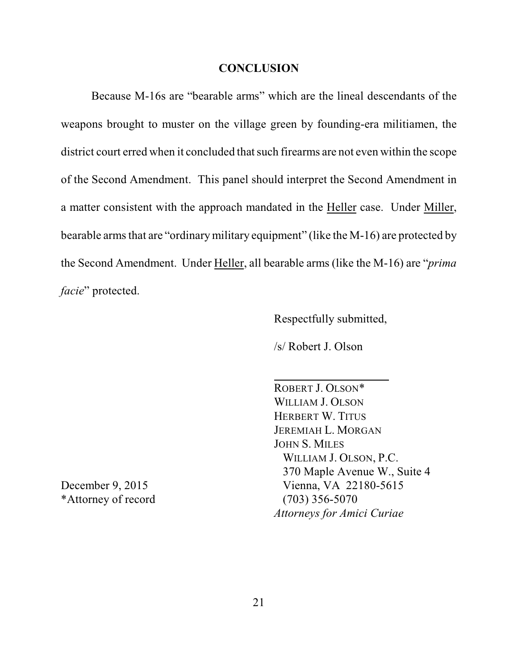### **CONCLUSION**

Because M-16s are "bearable arms" which are the lineal descendants of the weapons brought to muster on the village green by founding-era militiamen, the district court erred when it concluded that such firearms are not even within the scope of the Second Amendment. This panel should interpret the Second Amendment in a matter consistent with the approach mandated in the Heller case. Under Miller, bearable arms that are "ordinary military equipment" (like the M-16) are protected by the Second Amendment. Under Heller, all bearable arms (like the M-16) are "*prima facie*" protected.

Respectfully submitted,

/s/ Robert J. Olson

ROBERT J. OLSON\* WILLIAM J. OLSON HERBERT W. TITUS JEREMIAH L. MORGAN JOHN S. MILES WILLIAM J. OLSON, P.C. 370 Maple Avenue W., Suite 4 December 9, 2015 Vienna, VA 22180-5615 *Attorneys for Amici Curiae*

\*Attorney of record  $(703)$  356-5070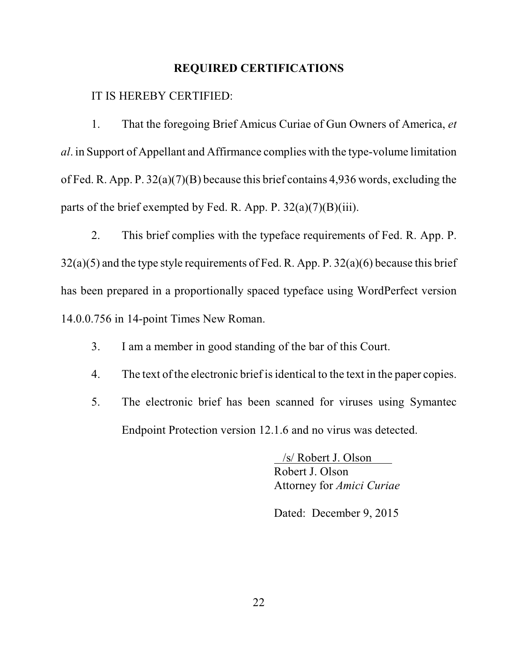### **REQUIRED CERTIFICATIONS**

IT IS HEREBY CERTIFIED:

1. That the foregoing Brief Amicus Curiae of Gun Owners of America, *et al*. in Support of Appellant and Affirmance complies with the type-volume limitation of Fed. R. App. P. 32(a)(7)(B) because this brief contains 4,936 words, excluding the parts of the brief exempted by Fed. R. App. P.  $32(a)(7)(B)(iii)$ .

2. This brief complies with the typeface requirements of Fed. R. App. P. 32(a)(5) and the type style requirements of Fed. R. App. P. 32(a)(6) because this brief has been prepared in a proportionally spaced typeface using WordPerfect version 14.0.0.756 in 14-point Times New Roman.

- 3. I am a member in good standing of the bar of this Court.
- 4. The text of the electronic brief is identical to the text in the paper copies.
- 5. The electronic brief has been scanned for viruses using Symantec Endpoint Protection version 12.1.6 and no virus was detected.

 /s/ Robert J. Olson Robert J. Olson Attorney for *Amici Curiae*

Dated: December 9, 2015